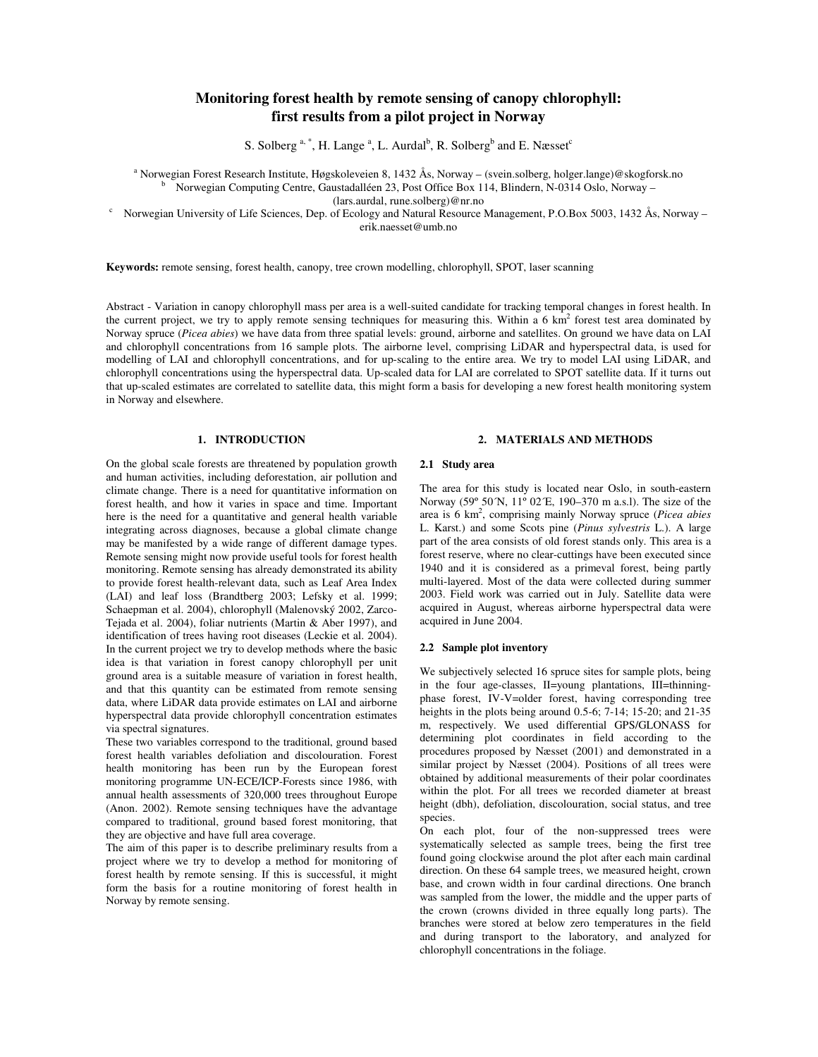# **Monitoring forest health by remote sensing of canopy chlorophyll: first results from a pilot project in Norway**

S. Solberg<sup>a, \*</sup>, H. Lange<sup>a</sup>, L. Aurdal<sup>b</sup>, R. Solberg<sup>b</sup> and E. Næsset<sup>c</sup>

<sup>a</sup> Norwegian Forest Research Institute, Høgskoleveien 8, 1432 Ås, Norway – (svein.solberg, holger.lange)@skogforsk.no <sup>b</sup> Norwegian Computing Centre, Gaustadalléen 23, Post Office Box 114, Blindern, N-0314 Oslo, Norway – (lars.aurdal, rune.solberg)@nr.no

Norwegian University of Life Sciences, Dep. of Ecology and Natural Resource Management, P.O.Box 5003, 1432 Ås, Norway – erik.naesset@umb.no

**Keywords:** remote sensing, forest health, canopy, tree crown modelling, chlorophyll, SPOT, laser scanning

Abstract - Variation in canopy chlorophyll mass per area is a well-suited candidate for tracking temporal changes in forest health. In the current project, we try to apply remote sensing techniques for measuring this. Within a 6  $km<sup>2</sup>$  forest test area dominated by Norway spruce (*Picea abies*) we have data from three spatial levels: ground, airborne and satellites. On ground we have data on LAI and chlorophyll concentrations from 16 sample plots. The airborne level, comprising LiDAR and hyperspectral data, is used for modelling of LAI and chlorophyll concentrations, and for up-scaling to the entire area. We try to model LAI using LiDAR, and chlorophyll concentrations using the hyperspectral data. Up-scaled data for LAI are correlated to SPOT satellite data. If it turns out that up-scaled estimates are correlated to satellite data, this might form a basis for developing a new forest health monitoring system in Norway and elsewhere.

### **1. INTRODUCTION**

#### **2. MATERIALS AND METHODS**

On the global scale forests are threatened by population growth and human activities, including deforestation, air pollution and climate change. There is a need for quantitative information on forest health, and how it varies in space and time. Important here is the need for a quantitative and general health variable integrating across diagnoses, because a global climate change may be manifested by a wide range of different damage types. Remote sensing might now provide useful tools for forest health monitoring. Remote sensing has already demonstrated its ability to provide forest health-relevant data, such as Leaf Area Index (LAI) and leaf loss (Brandtberg 2003; Lefsky et al. 1999; Schaepman et al. 2004), chlorophyll (Malenovský 2002, Zarco-Tejada et al. 2004), foliar nutrients (Martin & Aber 1997), and identification of trees having root diseases (Leckie et al. 2004). In the current project we try to develop methods where the basic idea is that variation in forest canopy chlorophyll per unit ground area is a suitable measure of variation in forest health, and that this quantity can be estimated from remote sensing data, where LiDAR data provide estimates on LAI and airborne hyperspectral data provide chlorophyll concentration estimates via spectral signatures.

These two variables correspond to the traditional, ground based forest health variables defoliation and discolouration. Forest health monitoring has been run by the European forest monitoring programme UN-ECE/ICP-Forests since 1986, with annual health assessments of 320,000 trees throughout Europe (Anon. 2002). Remote sensing techniques have the advantage compared to traditional, ground based forest monitoring, that they are objective and have full area coverage.

The aim of this paper is to describe preliminary results from a project where we try to develop a method for monitoring of forest health by remote sensing. If this is successful, it might form the basis for a routine monitoring of forest health in Norway by remote sensing.

The area for this study is located near Oslo, in south-eastern Norway (59º 50´N, 11º 02´E, 190–370 m a.s.l). The size of the area is 6 km 2 , comprising mainly Norway spruce (*Picea abies* L. Karst.) and some Scots pine (*Pinus sylvestris* L.). A large part of the area consists of old forest stands only. This area is a forest reserve, where no clear-cuttings have been executed since 1940 and it is considered as a primeval forest, being partly multi-layered. Most of the data were collected during summer 2003. Field work was carried out in July. Satellite data were acquired in August, whereas airborne hyperspectral data were acquired in June 2004.

#### **2.2 Sample plot inventory**

**2.1 Study area**

We subjectively selected 16 spruce sites for sample plots, being in the four age-classes, II=young plantations, III=thinningphase forest, IV-V=older forest, having corresponding tree heights in the plots being around 0.5-6; 7-14; 15-20; and 21-35 m, respectively. We used differential GPS/GLONASS for determining plot coordinates in field according to the procedures proposed by Næsset (2001) and demonstrated in a similar project by Næsset (2004). Positions of all trees were obtained by additional measurements of their polar coordinates within the plot. For all trees we recorded diameter at breast height (dbh), defoliation, discolouration, social status, and tree species.

On each plot, four of the non-suppressed trees were systematically selected as sample trees, being the first tree found going clockwise around the plot after each main cardinal direction. On these 64 sample trees, we measured height, crown base, and crown width in four cardinal directions. One branch was sampled from the lower, the middle and the upper parts of the crown (crowns divided in three equally long parts). The branches were stored at below zero temperatures in the field and during transport to the laboratory, and analyzed for chlorophyll concentrations in the foliage.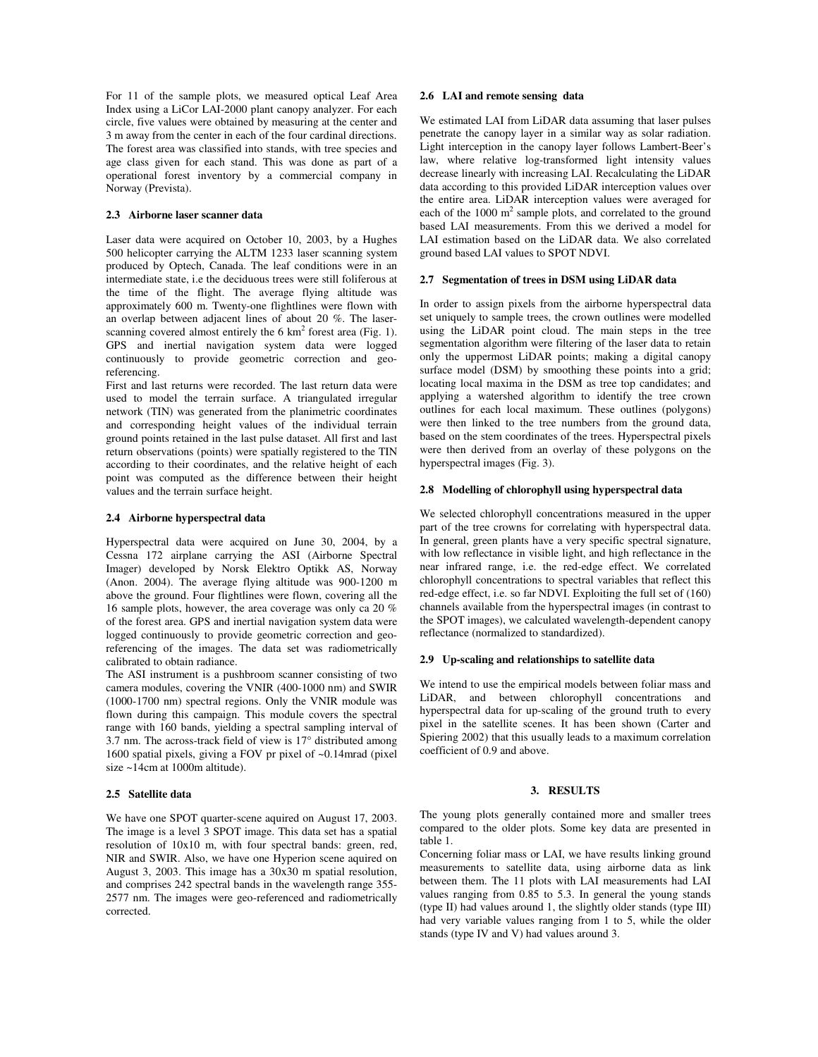For 11 of the sample plots, we measured optical Leaf Area Index using a LiCor LAI-2000 plant canopy analyzer. For each circle, five values were obtained by measuring at the center and 3 m away from the center in each of the four cardinal directions. The forest area was classified into stands, with tree species and age class given for each stand. This was done as part of a operational forest inventory by a commercial company in Norway (Prevista).

#### **2.3 Airborne laser scanner data**

Laser data were acquired on October 10, 2003, by a Hughes 500 helicopter carrying the ALTM 1233 laser scanning system produced by Optech, Canada. The leaf conditions were in an intermediate state, i.e the deciduous trees were still foliferous at the time of the flight. The average flying altitude was approximately 600 m. Twenty-one flightlines were flown with an overlap between adjacent lines of about 20 %. The laserscanning covered almost entirely the 6 km<sup>2</sup> forest area (Fig. 1). GPS and inertial navigation system data were logged continuously to provide geometric correction and georeferencing.

First and last returns were recorded. The last return data were used to model the terrain surface. A triangulated irregular network (TIN) was generated from the planimetric coordinates and corresponding height values of the individual terrain ground points retained in the last pulse dataset. All first and last return observations (points) were spatially registered to the TIN according to their coordinates, and the relative height of each point was computed as the difference between their height values and the terrain surface height.

#### **2.4 Airborne hyperspectral data**

Hyperspectral data were acquired on June 30, 2004, by a Cessna 172 airplane carrying the ASI (Airborne Spectral Imager) developed by Norsk Elektro Optikk AS, Norway (Anon. 2004). The average flying altitude was 900-1200 m above the ground. Four flightlines were flown, covering all the 16 sample plots, however, the area coverage was only ca 20 % of the forest area. GPS and inertial navigation system data were logged continuously to provide geometric correction and georeferencing of the images. The data set was radiometrically calibrated to obtain radiance.

The ASI instrument is a pushbroom scanner consisting of two camera modules, covering the VNIR (400-1000 nm) and SWIR (1000-1700 nm) spectral regions. Only the VNIR module was flown during this campaign. This module covers the spectral range with 160 bands, yielding a spectral sampling interval of 3.7 nm. The across-track field of view is 17° distributed among 1600 spatial pixels, giving a FOV pr pixel of ~0.14mrad (pixel size ~14cm at 1000m altitude).

# **2.5 Satellite data**

We have one SPOT quarter-scene aquired on August 17, 2003. The image is a level 3 SPOT image. This data set has a spatial resolution of 10x10 m, with four spectral bands: green, red, NIR and SWIR. Also, we have one Hyperion scene aquired on August 3, 2003. This image has a 30x30 m spatial resolution, and comprises 242 spectral bands in the wavelength range 355- 2577 nm. The images were geo-referenced and radiometrically corrected.

#### **2.6 LAI and remote sensing data**

We estimated LAI from LiDAR data assuming that laser pulses penetrate the canopy layer in a similar way as solar radiation. Light interception in the canopy layer follows Lambert-Beer's law, where relative log-transformed light intensity values decrease linearly with increasing LAI. Recalculating the LiDAR data according to this provided LiDAR interception values over the entire area. LiDAR interception values were averaged for each of the 1000 m<sup>2</sup> sample plots, and correlated to the ground based LAI measurements. From this we derived a model for LAI estimation based on the LiDAR data. We also correlated ground based LAI values to SPOT NDVI.

# **2.7 Segmentation of trees in DSM using LiDAR data**

In order to assign pixels from the airborne hyperspectral data set uniquely to sample trees, the crown outlines were modelled using the LiDAR point cloud. The main steps in the tree segmentation algorithm were filtering of the laser data to retain only the uppermost LiDAR points; making a digital canopy surface model (DSM) by smoothing these points into a grid; locating local maxima in the DSM as tree top candidates; and applying a watershed algorithm to identify the tree crown outlines for each local maximum. These outlines (polygons) were then linked to the tree numbers from the ground data, based on the stem coordinates of the trees. Hyperspectral pixels were then derived from an overlay of these polygons on the hyperspectral images (Fig. 3).

# **2.8 Modelling of chlorophyll using hyperspectral data**

We selected chlorophyll concentrations measured in the upper part of the tree crowns for correlating with hyperspectral data. In general, green plants have a very specific spectral signature, with low reflectance in visible light, and high reflectance in the near infrared range, i.e. the red-edge effect. We correlated chlorophyll concentrations to spectral variables that reflect this red-edge effect, i.e. so far NDVI. Exploiting the full set of (160) channels available from the hyperspectral images (in contrast to the SPOT images), we calculated wavelength-dependent canopy reflectance (normalized to standardized).

### **2.9 Up-scaling and relationships to satellite data**

We intend to use the empirical models between foliar mass and LiDAR, and between chlorophyll concentrations and hyperspectral data for up-scaling of the ground truth to every pixel in the satellite scenes. It has been shown (Carter and Spiering 2002) that this usually leads to a maximum correlation coefficient of 0.9 and above.

#### **3. RESULTS**

The young plots generally contained more and smaller trees compared to the older plots. Some key data are presented in table 1.

Concerning foliar mass or LAI, we have results linking ground measurements to satellite data, using airborne data as link between them. The 11 plots with LAI measurements had LAI values ranging from 0.85 to 5.3. In general the young stands (type II) had values around 1, the slightly older stands (type III) had very variable values ranging from 1 to 5, while the older stands (type IV and V) had values around 3.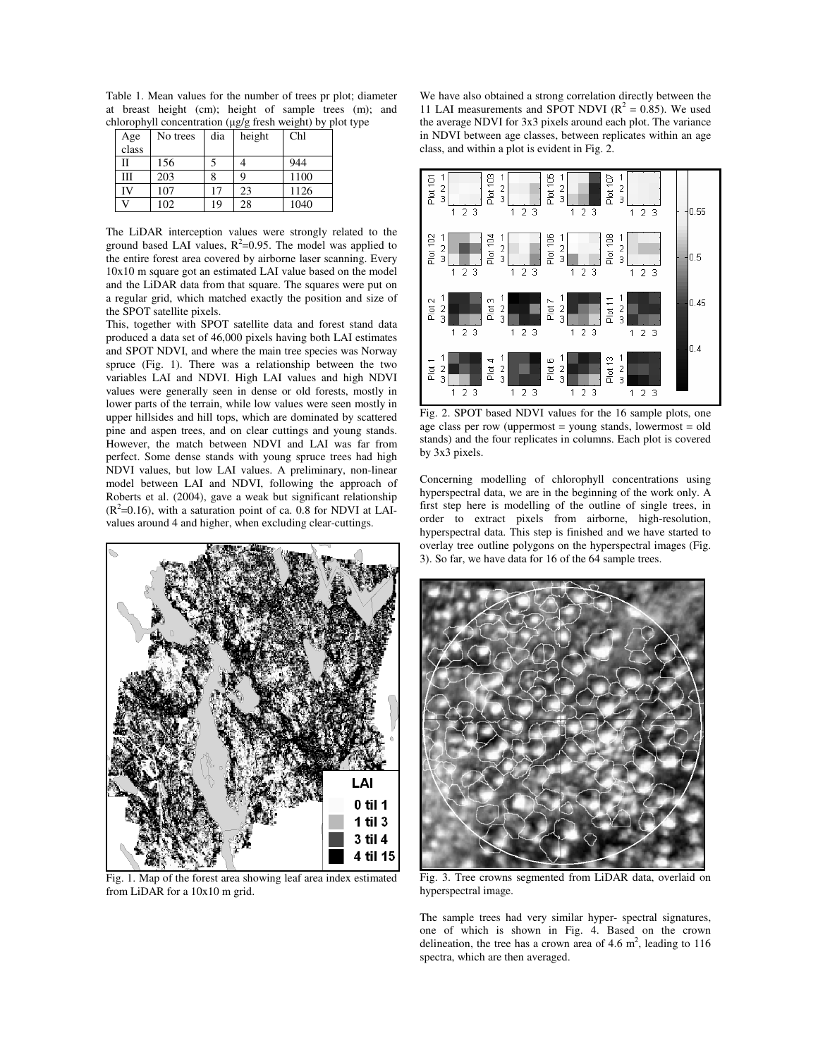Table 1. Mean values for the number of trees pr plot; diameter at breast height (cm); height of sample trees (m); and chlorophyll concentration (µg/g fresh weight) by plot type

| Age   | No trees | dia | .<br>height | Chl  |
|-------|----------|-----|-------------|------|
| class |          |     |             |      |
|       | 156      |     |             | 944  |
| Ш     | 203      |     |             | 1100 |
| ΓV    | 107      | 17  | 23          | 1126 |
|       | 102      | 19  | 28          | 1040 |

The LiDAR interception values were strongly related to the ground based LAI values,  $R^2=0.95$ . The model was applied to the entire forest area covered by airborne laser scanning. Every 10x10 m square got an estimated LAI value based on the model and the LiDAR data from that square. The squares were put on a regular grid, which matched exactly the position and size of the SPOT satellite pixels.

This, together with SPOT satellite data and forest stand data produced a data set of 46,000 pixels having both LAI estimates and SPOT NDVI, and where the main tree species was Norway spruce (Fig. 1). There was a relationship between the two variables LAI and NDVI. High LAI values and high NDVI values were generally seen in dense or old forests, mostly in lower parts of the terrain, while low values were seen mostly in upper hillsides and hill tops, which are dominated by scattered pine and aspen trees, and on clear cuttings and young stands. However, the match between NDVI and LAI was far from perfect. Some dense stands with young spruce trees had high NDVI values, but low LAI values. A preliminary, non-linear model between LAI and NDVI, following the approach of Roberts et al. (2004), gave a weak but significant relationship  $(R<sup>2</sup>=0.16)$ , with a saturation point of ca. 0.8 for NDVI at LAIvalues around 4 and higher, when excluding clear-cuttings.



Fig. 1. Map of the forest area showing leaf area index estimated from LiDAR for a 10x10 m grid.

We have also obtained a strong correlation directly between the 11 LAI measurements and SPOT NDVI ( $R^2 = 0.85$ ). We used the average NDVI for 3x3 pixels around each plot. The variance in NDVI between age classes, between replicates within an age class, and within a plot is evident in Fig. 2.



Fig. 2. SPOT based NDVI values for the 16 sample plots, one age class per row (uppermost = young stands, lowermost = old stands) and the four replicates in columns. Each plot is covered by 3x3 pixels.

Concerning modelling of chlorophyll concentrations using hyperspectral data, we are in the beginning of the work only. A first step here is modelling of the outline of single trees, in order to extract pixels from airborne, high-resolution, hyperspectral data. This step is finished and we have started to overlay tree outline polygons on the hyperspectral images (Fig. 3). So far, we have data for 16 of the 64 sample trees.



Fig. 3. Tree crowns segmented from LiDAR data, overlaid on hyperspectral image.

The sample trees had very similar hyper- spectral signatures, one of which is shown in Fig. 4. Based on the crown delineation, the tree has a crown area of 4.6  $m^2$ , leading to 116 spectra, which are then averaged.